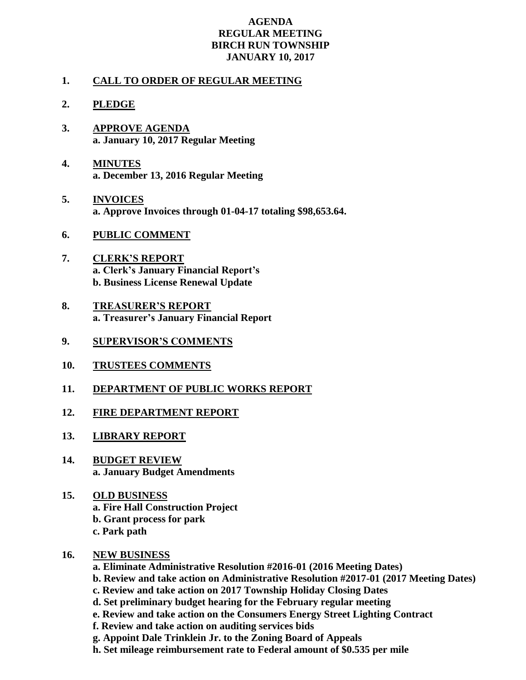## **AGENDA REGULAR MEETING BIRCH RUN TOWNSHIP JANUARY 10, 2017**

## **1. CALL TO ORDER OF REGULAR MEETING**

## **2. PLEDGE**

- **3. APPROVE AGENDA a. January 10, 2017 Regular Meeting**
- **4. MINUTES a. December 13, 2016 Regular Meeting**
- **5. INVOICES a. Approve Invoices through 01-04-17 totaling \$98,653.64.**
- **6. PUBLIC COMMENT**
- **7. CLERK'S REPORT a. Clerk's January Financial Report's b. Business License Renewal Update**
- **8. TREASURER'S REPORT a. Treasurer's January Financial Report**
- **9. SUPERVISOR'S COMMENTS**
- **10. TRUSTEES COMMENTS**
- **11. DEPARTMENT OF PUBLIC WORKS REPORT**
- **12. FIRE DEPARTMENT REPORT**
- **13. LIBRARY REPORT**
- **14. BUDGET REVIEW a. January Budget Amendments**
- **15. OLD BUSINESS a. Fire Hall Construction Project b. Grant process for park c. Park path**
- **16. NEW BUSINESS**
	- **a. Eliminate Administrative Resolution #2016-01 (2016 Meeting Dates)**
	- **b. Review and take action on Administrative Resolution #2017-01 (2017 Meeting Dates)**
	- **c. Review and take action on 2017 Township Holiday Closing Dates**
	- **d. Set preliminary budget hearing for the February regular meeting**
	- **e. Review and take action on the Consumers Energy Street Lighting Contract**
	- **f. Review and take action on auditing services bids**
	- **g. Appoint Dale Trinklein Jr. to the Zoning Board of Appeals**
	- **h. Set mileage reimbursement rate to Federal amount of \$0.535 per mile**